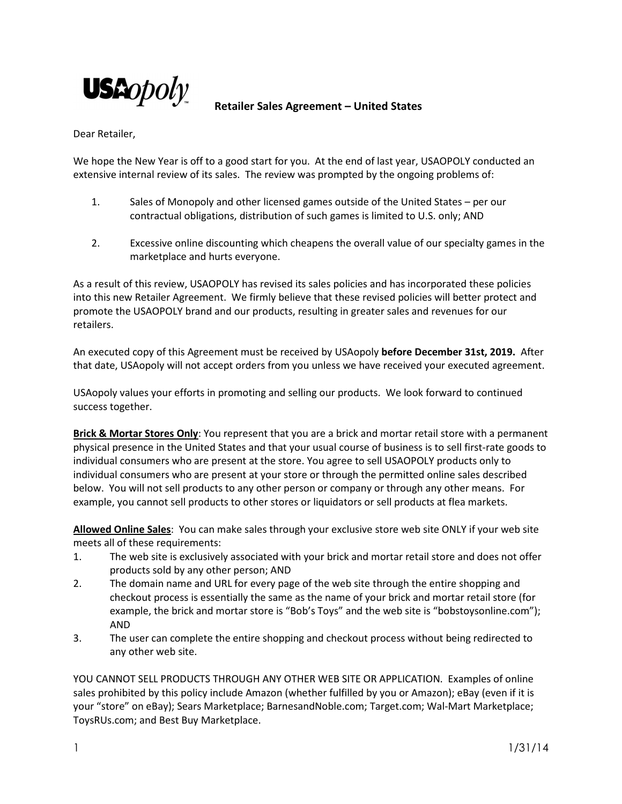

## **Retailer Sales Agreement – United States**

Dear Retailer,

We hope the New Year is off to a good start for you. At the end of last year, USAOPOLY conducted an extensive internal review of its sales. The review was prompted by the ongoing problems of:

- 1. Sales of Monopoly and other licensed games outside of the United States per our contractual obligations, distribution of such games is limited to U.S. only; AND
- 2. Excessive online discounting which cheapens the overall value of our specialty games in the marketplace and hurts everyone.

As a result of this review, USAOPOLY has revised its sales policies and has incorporated these policies into this new Retailer Agreement. We firmly believe that these revised policies will better protect and promote the USAOPOLY brand and our products, resulting in greater sales and revenues for our retailers.

An executed copy of this Agreement must be received by USAopoly **before December 31st, 2019.** After that date, USAopoly will not accept orders from you unless we have received your executed agreement.

USAopoly values your efforts in promoting and selling our products. We look forward to continued success together.

**Brick & Mortar Stores Only**: You represent that you are a brick and mortar retail store with a permanent physical presence in the United States and that your usual course of business is to sell first-rate goods to individual consumers who are present at the store. You agree to sell USAOPOLY products only to individual consumers who are present at your store or through the permitted online sales described below. You will not sell products to any other person or company or through any other means. For example, you cannot sell products to other stores or liquidators or sell products at flea markets.

**Allowed Online Sales**: You can make sales through your exclusive store web site ONLY if your web site meets all of these requirements:

- 1. The web site is exclusively associated with your brick and mortar retail store and does not offer products sold by any other person; AND
- 2. The domain name and URL for every page of the web site through the entire shopping and checkout process is essentially the same as the name of your brick and mortar retail store (for example, the brick and mortar store is "Bob's Toys" and the web site is "bobstoysonline.com"); AND
- 3. The user can complete the entire shopping and checkout process without being redirected to any other web site.

YOU CANNOT SELL PRODUCTS THROUGH ANY OTHER WEB SITE OR APPLICATION. Examples of online sales prohibited by this policy include Amazon (whether fulfilled by you or Amazon); eBay (even if it is your "store" on eBay); Sears Marketplace; BarnesandNoble.com; Target.com; Wal-Mart Marketplace; ToysRUs.com; and Best Buy Marketplace.